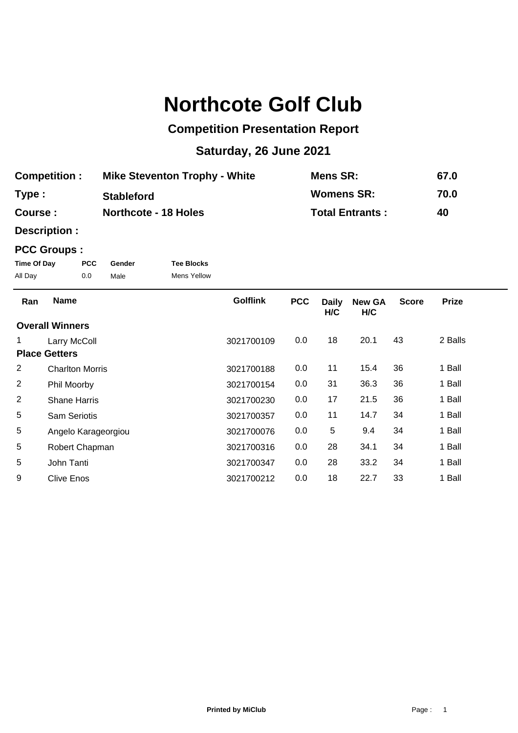## **Northcote Golf Club**

## **Competition Presentation Report**

## **Saturday, 26 June 2021**

| <b>Competition:</b> | <b>Mike Steventon Trophy - White</b> | Mens SR:               | 67.0 |
|---------------------|--------------------------------------|------------------------|------|
| Type:               | <b>Stableford</b>                    | <b>Womens SR:</b>      | 70.0 |
| <b>Course:</b>      | <b>Northcote - 18 Holes</b>          | <b>Total Entrants:</b> | 40   |

**Description :**

## **PCC Groups :**

| Time Of Day | PCC. | Gender | <b>Tee Blocks</b>  |
|-------------|------|--------|--------------------|
| All Day     | 0.0  | Male   | <b>Mens Yellow</b> |

| Ran                    | <b>Name</b>            | <b>Golflink</b> | <b>PCC</b> | <b>Daily</b><br>H/C | <b>New GA</b><br>H/C | <b>Score</b> | <b>Prize</b> |
|------------------------|------------------------|-----------------|------------|---------------------|----------------------|--------------|--------------|
| <b>Overall Winners</b> |                        |                 |            |                     |                      |              |              |
|                        | Larry McColl           | 3021700109      | 0.0        | 18                  | 20.1                 | 43           | 2 Balls      |
|                        | <b>Place Getters</b>   |                 |            |                     |                      |              |              |
| 2                      | <b>Charlton Morris</b> | 3021700188      | 0.0        | 11                  | 15.4                 | 36           | 1 Ball       |
| 2                      | Phil Moorby            | 3021700154      | 0.0        | 31                  | 36.3                 | 36           | 1 Ball       |
| 2                      | <b>Shane Harris</b>    | 3021700230      | 0.0        | 17                  | 21.5                 | 36           | 1 Ball       |
| 5                      | <b>Sam Seriotis</b>    | 3021700357      | 0.0        | 11                  | 14.7                 | 34           | 1 Ball       |
| 5                      | Angelo Karageorgiou    | 3021700076      | 0.0        | 5                   | 9.4                  | 34           | 1 Ball       |
| 5                      | Robert Chapman         | 3021700316      | 0.0        | 28                  | 34.1                 | 34           | 1 Ball       |
| 5                      | John Tanti             | 3021700347      | 0.0        | 28                  | 33.2                 | 34           | 1 Ball       |
| 9                      | Clive Enos             | 3021700212      | 0.0        | 18                  | 22.7                 | 33           | 1 Ball       |